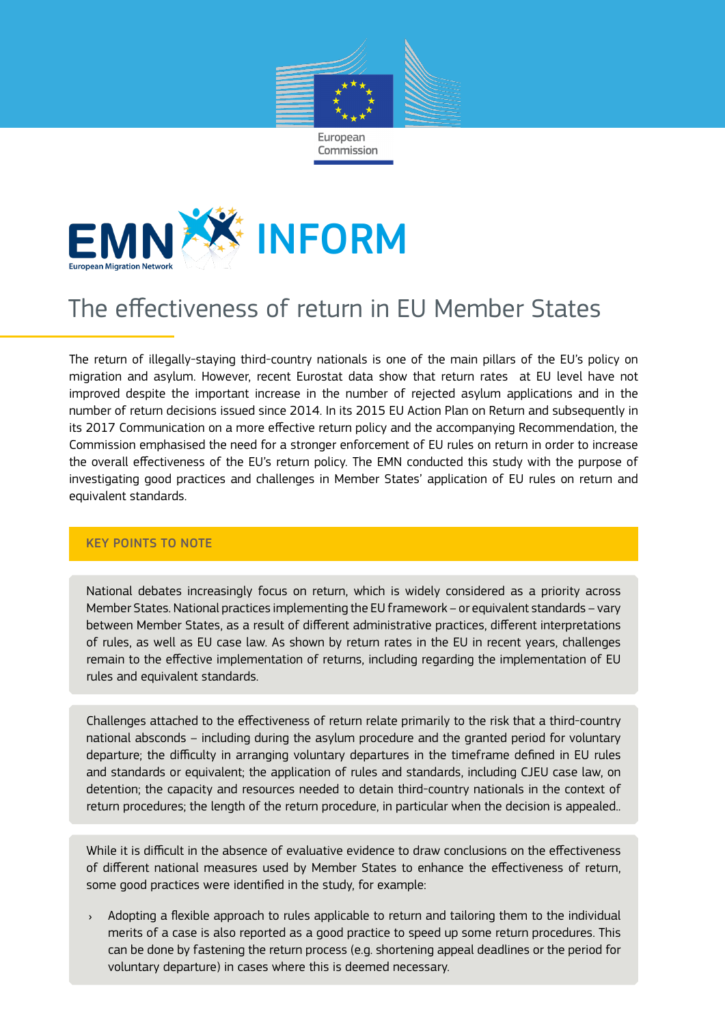



# The effectiveness of return in EU Member States

The return of illegally-staying third-country nationals is one of the main pillars of the EU's policy on migration and asylum. However, recent Eurostat data show that return rates at EU level have not improved despite the important increase in the number of rejected asylum applications and in the number of return decisions issued since 2014. In its 2015 EU Action Plan on Return and subsequently in its 2017 Communication on a more effective return policy and the accompanying Recommendation, the Commission emphasised the need for a stronger enforcement of EU rules on return in order to increase the overall effectiveness of the EU's return policy. The EMN conducted this study with the purpose of investigating good practices and challenges in Member States' application of EU rules on return and equivalent standards.

# KEY POINTS TO NOTE

National debates increasingly focus on return, which is widely considered as a priority across Member States. National practices implementing the EU framework – or equivalent standards – vary between Member States, as a result of different administrative practices, different interpretations of rules, as well as EU case law. As shown by return rates in the EU in recent years, challenges remain to the effective implementation of returns, including regarding the implementation of EU rules and equivalent standards.

Challenges attached to the effectiveness of return relate primarily to the risk that a third-country national absconds – including during the asylum procedure and the granted period for voluntary departure; the difficulty in arranging voluntary departures in the timeframe defined in EU rules and standards or equivalent; the application of rules and standards, including CJEU case law, on detention; the capacity and resources needed to detain third-country nationals in the context of return procedures; the length of the return procedure, in particular when the decision is appealed..

While it is difficult in the absence of evaluative evidence to draw conclusions on the effectiveness of different national measures used by Member States to enhance the effectiveness of return, some good practices were identified in the study, for example:

Adopting a flexible approach to rules applicable to return and tailoring them to the individual merits of a case is also reported as a good practice to speed up some return procedures. This can be done by fastening the return process (e.g. shortening appeal deadlines or the period for voluntary departure) in cases where this is deemed necessary.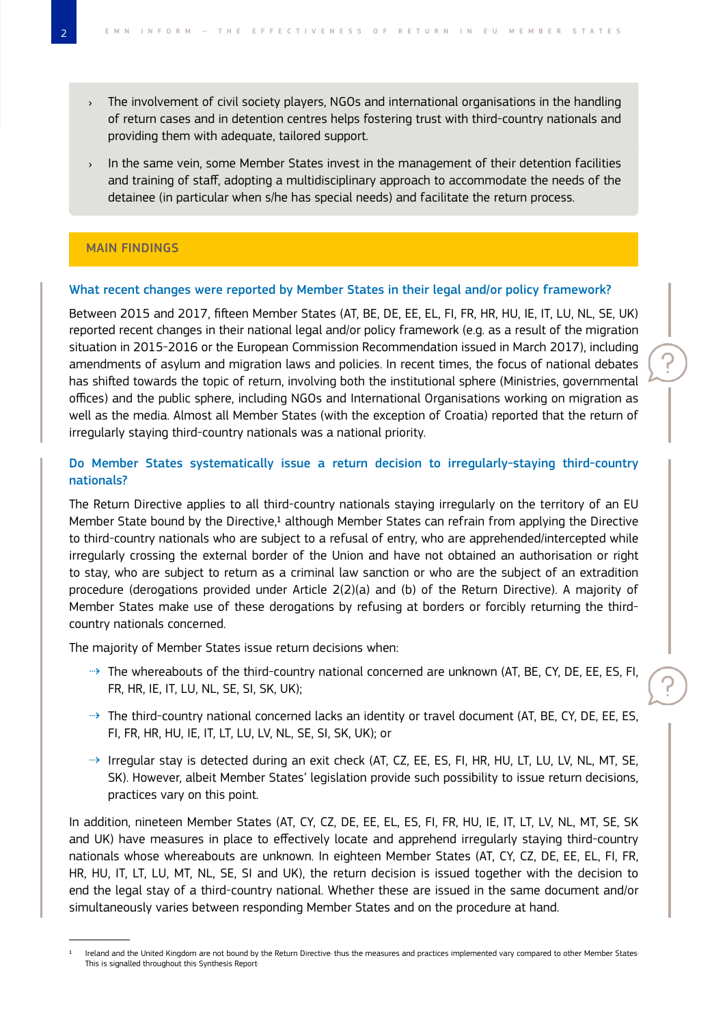- › The involvement of civil society players, NGOs and international organisations in the handling of return cases and in detention centres helps fostering trust with third-country nationals and providing them with adequate, tailored support.
- › In the same vein, some Member States invest in the management of their detention facilities and training of staff, adopting a multidisciplinary approach to accommodate the needs of the detainee (in particular when s/he has special needs) and facilitate the return process.

## MAIN FINDINGS

#### What recent changes were reported by Member States in their legal and/or policy framework?

Between 2015 and 2017, fifteen Member States (AT, BE, DE, EE, EL, FI, FR, HR, HU, IE, IT, LU, NL, SE, UK) reported recent changes in their national legal and/or policy framework (e.g. as a result of the migration situation in 2015-2016 or the European Commission Recommendation issued in March 2017), including amendments of asylum and migration laws and policies. In recent times, the focus of national debates has shifted towards the topic of return, involving both the institutional sphere (Ministries, governmental offices) and the public sphere, including NGOs and International Organisations working on migration as well as the media. Almost all Member States (with the exception of Croatia) reported that the return of irregularly staying third-country nationals was a national priority.

# Do Member States systematically issue a return decision to irregularly-staying third-country nationals?

The Return Directive applies to all third-country nationals staying irregularly on the territory of an EU Member State bound by the Directive,<sup>1</sup> although Member States can refrain from applying the Directive to third-country nationals who are subject to a refusal of entry, who are apprehended/intercepted while irregularly crossing the external border of the Union and have not obtained an authorisation or right to stay, who are subject to return as a criminal law sanction or who are the subject of an extradition procedure (derogations provided under Article 2(2)(a) and (b) of the Return Directive). A majority of Member States make use of these derogations by refusing at borders or forcibly returning the thirdcountry nationals concerned.

The majority of Member States issue return decisions when:

- ⇢ The whereabouts of the third-country national concerned are unknown (AT, BE, CY, DE, EE, ES, FI, FR, HR, IE, IT, LU, NL, SE, SI, SK, UK);
- ⇢ The third-country national concerned lacks an identity or travel document (AT, BE, CY, DE, EE, ES, FI, FR, HR, HU, IE, IT, LT, LU, LV, NL, SE, SI, SK, UK); or
- ⇢ Irregular stay is detected during an exit check (AT, CZ, EE, ES, FI, HR, HU, LT, LU, LV, NL, MT, SE, SK). However, albeit Member States' legislation provide such possibility to issue return decisions, practices vary on this point.

In addition, nineteen Member States (AT, CY, CZ, DE, EE, EL, ES, FI, FR, HU, IE, IT, LT, LV, NL, MT, SE, SK and UK) have measures in place to effectively locate and apprehend irregularly staying third-country nationals whose whereabouts are unknown. In eighteen Member States (AT, CY, CZ, DE, EE, EL, FI, FR, HR, HU, IT, LT, LU, MT, NL, SE, SI and UK), the return decision is issued together with the decision to end the legal stay of a third-country national. Whether these are issued in the same document and/or simultaneously varies between responding Member States and on the procedure at hand.

Ireland and the United Kingdom are not bound by the Return Directive thus the measures and practices implemented vary compared to other Member States. This is signalled throughout this Synthesis Report.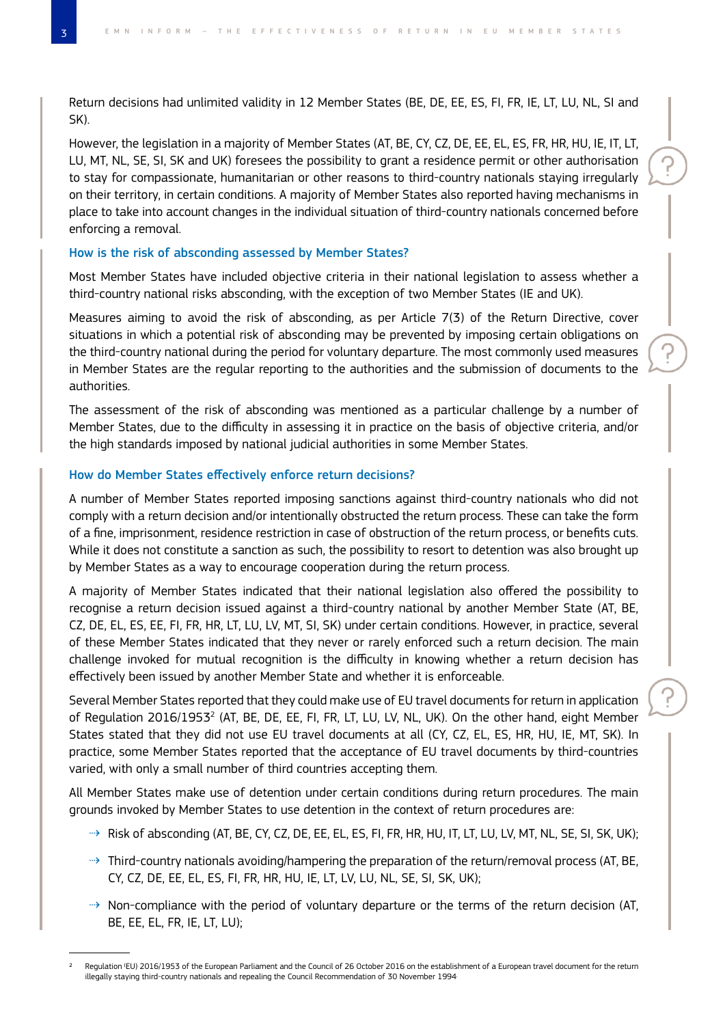Return decisions had unlimited validity in 12 Member States (BE, DE, EE, ES, FI, FR, IE, LT, LU, NL, SI and SK).

However, the legislation in a majority of Member States (AT, BE, CY, CZ, DE, EE, EL, ES, FR, HR, HU, IE, IT, LT, LU, MT, NL, SE, SI, SK and UK) foresees the possibility to grant a residence permit or other authorisation to stay for compassionate, humanitarian or other reasons to third-country nationals staying irregularly on their territory, in certain conditions. A majority of Member States also reported having mechanisms in place to take into account changes in the individual situation of third-country nationals concerned before enforcing a removal.

## How is the risk of absconding assessed by Member States?

Most Member States have included objective criteria in their national legislation to assess whether a third-country national risks absconding, with the exception of two Member States (IE and UK).

Measures aiming to avoid the risk of absconding, as per Article 7(3) of the Return Directive, cover situations in which a potential risk of absconding may be prevented by imposing certain obligations on the third-country national during the period for voluntary departure. The most commonly used measures in Member States are the regular reporting to the authorities and the submission of documents to the authorities.

The assessment of the risk of absconding was mentioned as a particular challenge by a number of Member States, due to the difficulty in assessing it in practice on the basis of objective criteria, and/or the high standards imposed by national judicial authorities in some Member States.

## How do Member States effectively enforce return decisions?

A number of Member States reported imposing sanctions against third-country nationals who did not comply with a return decision and/or intentionally obstructed the return process. These can take the form of a fine, imprisonment, residence restriction in case of obstruction of the return process, or benefits cuts. While it does not constitute a sanction as such, the possibility to resort to detention was also brought up by Member States as a way to encourage cooperation during the return process.

A majority of Member States indicated that their national legislation also offered the possibility to recognise a return decision issued against a third-country national by another Member State (AT, BE, CZ, DE, EL, ES, EE, FI, FR, HR, LT, LU, LV, MT, SI, SK) under certain conditions. However, in practice, several of these Member States indicated that they never or rarely enforced such a return decision. The main challenge invoked for mutual recognition is the difficulty in knowing whether a return decision has effectively been issued by another Member State and whether it is enforceable.

Several Member States reported that they could make use of EU travel documents for return in application of Regulation 2016/1953<sup>2</sup> (AT, BE, DE, EE, FI, FR, LT, LU, LV, NL, UK). On the other hand, eight Member States stated that they did not use EU travel documents at all (CY, CZ, EL, ES, HR, HU, IE, MT, SK). In practice, some Member States reported that the acceptance of EU travel documents by third-countries varied, with only a small number of third countries accepting them.

All Member States make use of detention under certain conditions during return procedures. The main grounds invoked by Member States to use detention in the context of return procedures are:

- ⇢ Risk of absconding (AT, BE, CY, CZ, DE, EE, EL, ES, FI, FR, HR, HU, IT, LT, LU, LV, MT, NL, SE, SI, SK, UK);
- ⇢ Third-country nationals avoiding/hampering the preparation of the return/removal process (AT, BE, CY, CZ, DE, EE, EL, ES, FI, FR, HR, HU, IE, LT, LV, LU, NL, SE, SI, SK, UK);
- ⇢ Non-compliance with the period of voluntary departure or the terms of the return decision (AT, BE, EE, EL, FR, IE, LT, LU);

<sup>2</sup> Regulation (EU) 2016/1953 of the European Parliament and the Council of 26 October 2016 on the establishment of a European travel document for the return illegally staying third-country nationals and repealing the Council Recommendation of 30 November 1994.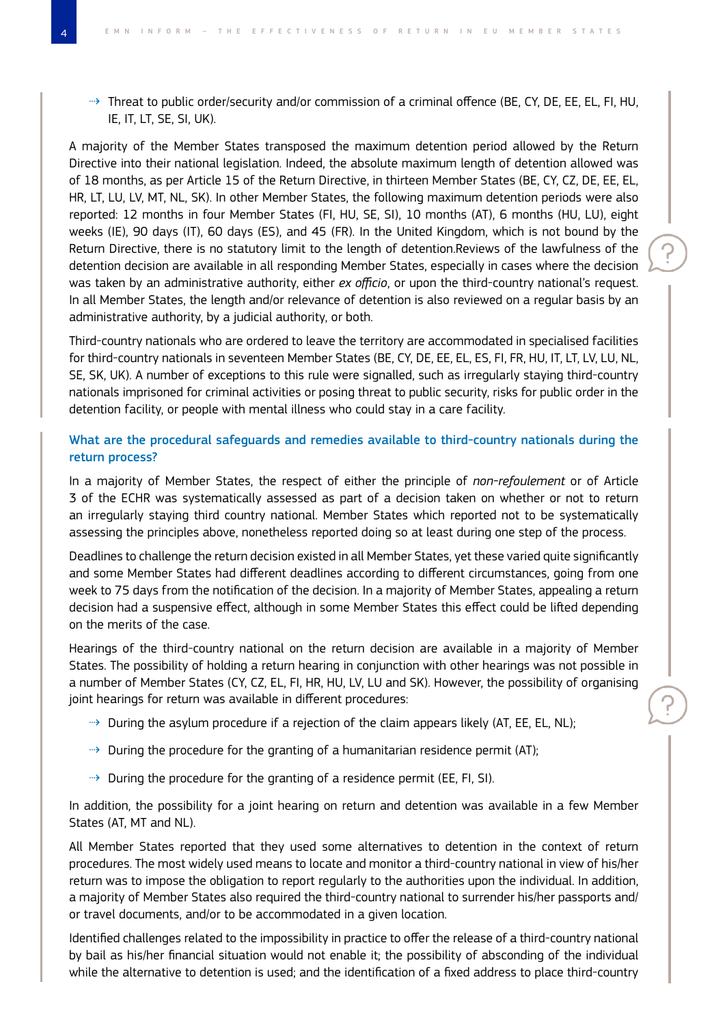⇢ Threat to public order/security and/or commission of a criminal offence (BE, CY, DE, EE, EL, FI, HU, IE, IT, LT, SE, SI, UK).

A majority of the Member States transposed the maximum detention period allowed by the Return Directive into their national legislation. Indeed, the absolute maximum length of detention allowed was of 18 months, as per Article 15 of the Return Directive, in thirteen Member States (BE, CY, CZ, DE, EE, EL, HR, LT, LU, LV, MT, NL, SK). In other Member States, the following maximum detention periods were also reported: 12 months in four Member States (FI, HU, SE, SI), 10 months (AT), 6 months (HU, LU), eight weeks (IE), 90 days (IT), 60 days (ES), and 45 (FR). In the United Kingdom, which is not bound by the Return Directive, there is no statutory limit to the length of detention.Reviews of the lawfulness of the detention decision are available in all responding Member States, especially in cases where the decision was taken by an administrative authority, either *ex officio*, or upon the third-country national's request. In all Member States, the length and/or relevance of detention is also reviewed on a regular basis by an administrative authority, by a judicial authority, or both.

Third-country nationals who are ordered to leave the territory are accommodated in specialised facilities for third-country nationals in seventeen Member States (BE, CY, DE, EE, EL, ES, FI, FR, HU, IT, LT, LV, LU, NL, SE, SK, UK). A number of exceptions to this rule were signalled, such as irregularly staying third-country nationals imprisoned for criminal activities or posing threat to public security, risks for public order in the detention facility, or people with mental illness who could stay in a care facility.

# What are the procedural safeguards and remedies available to third-country nationals during the return process?

In a majority of Member States, the respect of either the principle of *non-refoulement* or of Article 3 of the ECHR was systematically assessed as part of a decision taken on whether or not to return an irregularly staying third country national. Member States which reported not to be systematically assessing the principles above, nonetheless reported doing so at least during one step of the process.

Deadlines to challenge the return decision existed in all Member States, yet these varied quite significantly and some Member States had different deadlines according to different circumstances, going from one week to 75 days from the notification of the decision. In a majority of Member States, appealing a return decision had a suspensive effect, although in some Member States this effect could be lifted depending on the merits of the case.

Hearings of the third-country national on the return decision are available in a majority of Member States. The possibility of holding a return hearing in conjunction with other hearings was not possible in a number of Member States (CY, CZ, EL, FI, HR, HU, LV, LU and SK). However, the possibility of organising joint hearings for return was available in different procedures:

- $\rightarrow$  During the asylum procedure if a rejection of the claim appears likely (AT, EE, EL, NL);
- $\rightarrow$  During the procedure for the granting of a humanitarian residence permit (AT);
- ⇢ During the procedure for the granting of a residence permit (EE, FI, SI).

In addition, the possibility for a joint hearing on return and detention was available in a few Member States (AT, MT and NL).

All Member States reported that they used some alternatives to detention in the context of return procedures. The most widely used means to locate and monitor a third-country national in view of his/her return was to impose the obligation to report regularly to the authorities upon the individual. In addition, a majority of Member States also required the third-country national to surrender his/her passports and/ or travel documents, and/or to be accommodated in a given location.

Identified challenges related to the impossibility in practice to offer the release of a third-country national by bail as his/her financial situation would not enable it; the possibility of absconding of the individual while the alternative to detention is used; and the identification of a fixed address to place third-country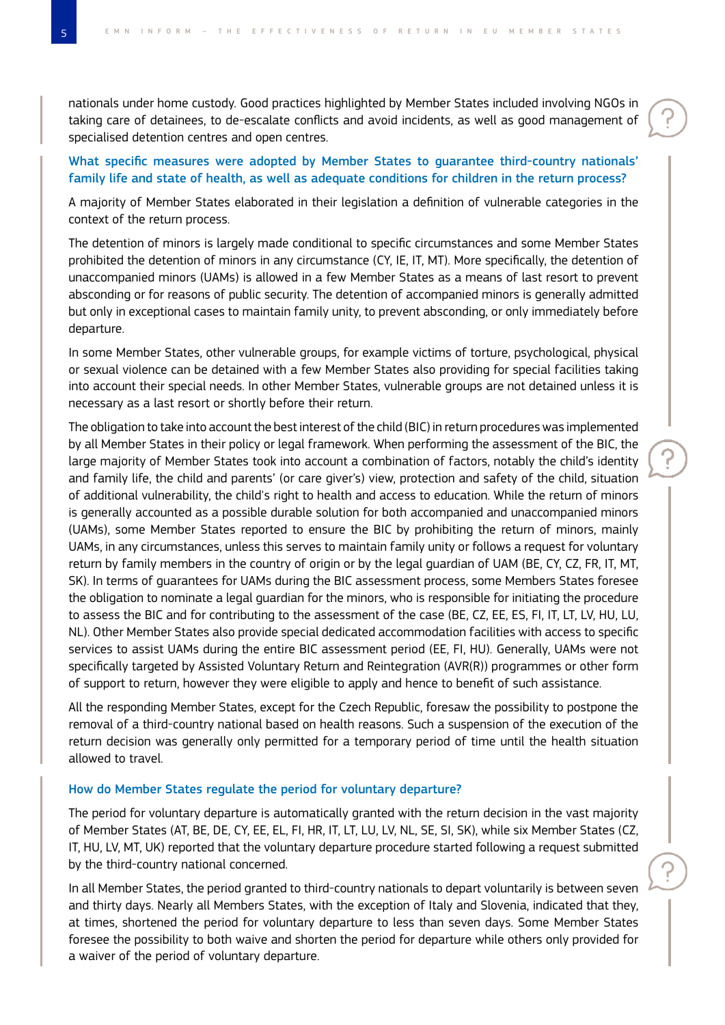nationals under home custody. Good practices highlighted by Member States included involving NGOs in taking care of detainees, to de-escalate conflicts and avoid incidents, as well as good management of specialised detention centres and open centres.

# What specific measures were adopted by Member States to guarantee third-country nationals' family life and state of health, as well as adequate conditions for children in the return process?

A majority of Member States elaborated in their legislation a definition of vulnerable categories in the context of the return process.

The detention of minors is largely made conditional to specific circumstances and some Member States prohibited the detention of minors in any circumstance (CY, IE, IT, MT). More specifically, the detention of unaccompanied minors (UAMs) is allowed in a few Member States as a means of last resort to prevent absconding or for reasons of public security. The detention of accompanied minors is generally admitted but only in exceptional cases to maintain family unity, to prevent absconding, or only immediately before departure.

In some Member States, other vulnerable groups, for example victims of torture, psychological, physical or sexual violence can be detained with a few Member States also providing for special facilities taking into account their special needs. In other Member States, vulnerable groups are not detained unless it is necessary as a last resort or shortly before their return.

The obligation to take into account the best interest of the child (BIC) in return procedures was implemented by all Member States in their policy or legal framework. When performing the assessment of the BIC, the large majority of Member States took into account a combination of factors, notably the child's identity and family life, the child and parents' (or care giver's) view, protection and safety of the child, situation of additional vulnerability, the child's right to health and access to education. While the return of minors is generally accounted as a possible durable solution for both accompanied and unaccompanied minors (UAMs), some Member States reported to ensure the BIC by prohibiting the return of minors, mainly UAMs, in any circumstances, unless this serves to maintain family unity or follows a request for voluntary return by family members in the country of origin or by the legal guardian of UAM (BE, CY, CZ, FR, IT, MT, SK). In terms of guarantees for UAMs during the BIC assessment process, some Members States foresee the obligation to nominate a legal guardian for the minors, who is responsible for initiating the procedure to assess the BIC and for contributing to the assessment of the case (BE, CZ, EE, ES, FI, IT, LT, LV, HU, LU, NL). Other Member States also provide special dedicated accommodation facilities with access to specific services to assist UAMs during the entire BIC assessment period (EE, FI, HU). Generally, UAMs were not specifically targeted by Assisted Voluntary Return and Reintegration (AVR(R)) programmes or other form of support to return, however they were eligible to apply and hence to benefit of such assistance.

All the responding Member States, except for the Czech Republic, foresaw the possibility to postpone the removal of a third-country national based on health reasons. Such a suspension of the execution of the return decision was generally only permitted for a temporary period of time until the health situation allowed to travel.

#### How do Member States regulate the period for voluntary departure?

The period for voluntary departure is automatically granted with the return decision in the vast majority of Member States (AT, BE, DE, CY, EE, EL, FI, HR, IT, LT, LU, LV, NL, SE, SI, SK), while six Member States (CZ, IT, HU, LV, MT, UK) reported that the voluntary departure procedure started following a request submitted by the third-country national concerned.

In all Member States, the period granted to third-country nationals to depart voluntarily is between seven and thirty days. Nearly all Members States, with the exception of Italy and Slovenia, indicated that they, at times, shortened the period for voluntary departure to less than seven days. Some Member States foresee the possibility to both waive and shorten the period for departure while others only provided for a waiver of the period of voluntary departure.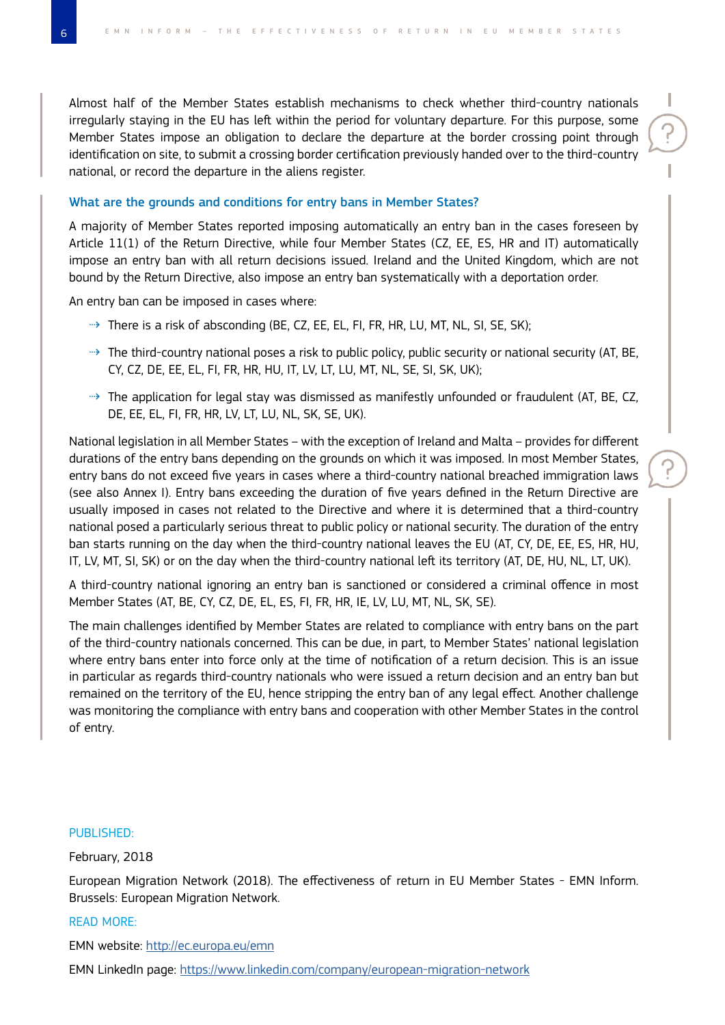Almost half of the Member States establish mechanisms to check whether third-country nationals irregularly staying in the EU has left within the period for voluntary departure. For this purpose, some Member States impose an obligation to declare the departure at the border crossing point through identification on site, to submit a crossing border certification previously handed over to the third-country national, or record the departure in the aliens register.

## What are the grounds and conditions for entry bans in Member States?

A majority of Member States reported imposing automatically an entry ban in the cases foreseen by Article 11(1) of the Return Directive, while four Member States (CZ, EE, ES, HR and IT) automatically impose an entry ban with all return decisions issued. Ireland and the United Kingdom, which are not bound by the Return Directive, also impose an entry ban systematically with a deportation order.

An entry ban can be imposed in cases where:

- ⇢ There is a risk of absconding (BE, CZ, EE, EL, FI, FR, HR, LU, MT, NL, SI, SE, SK);
- ⇢ The third-country national poses a risk to public policy, public security or national security (AT, BE, CY, CZ, DE, EE, EL, FI, FR, HR, HU, IT, LV, LT, LU, MT, NL, SE, SI, SK, UK);
- ⇢ The application for legal stay was dismissed as manifestly unfounded or fraudulent (AT, BE, CZ, DE, EE, EL, FI, FR, HR, LV, LT, LU, NL, SK, SE, UK).

National legislation in all Member States – with the exception of Ireland and Malta – provides for different durations of the entry bans depending on the grounds on which it was imposed. In most Member States, entry bans do not exceed five years in cases where a third-country national breached immigration laws (see also Annex I). Entry bans exceeding the duration of five years defined in the Return Directive are usually imposed in cases not related to the Directive and where it is determined that a third-country national posed a particularly serious threat to public policy or national security. The duration of the entry ban starts running on the day when the third-country national leaves the EU (AT, CY, DE, EE, ES, HR, HU, IT, LV, MT, SI, SK) or on the day when the third-country national left its territory (AT, DE, HU, NL, LT, UK).

A third-country national ignoring an entry ban is sanctioned or considered a criminal offence in most Member States (AT, BE, CY, CZ, DE, EL, ES, FI, FR, HR, IE, LV, LU, MT, NL, SK, SE).

The main challenges identified by Member States are related to compliance with entry bans on the part of the third-country nationals concerned. This can be due, in part, to Member States' national legislation where entry bans enter into force only at the time of notification of a return decision. This is an issue in particular as regards third-country nationals who were issued a return decision and an entry ban but remained on the territory of the EU, hence stripping the entry ban of any legal effect. Another challenge was monitoring the compliance with entry bans and cooperation with other Member States in the control of entry.

#### PUBLISHED:

## February, 2018

European Migration Network (2018). The effectiveness of return in EU Member States - EMN Inform. Brussels: European Migration Network.

#### READ MORE:

EMN website:<http://ec.europa.eu/emn>

EMN LinkedIn page: <https://www.linkedin.com/company/european-migration-network>